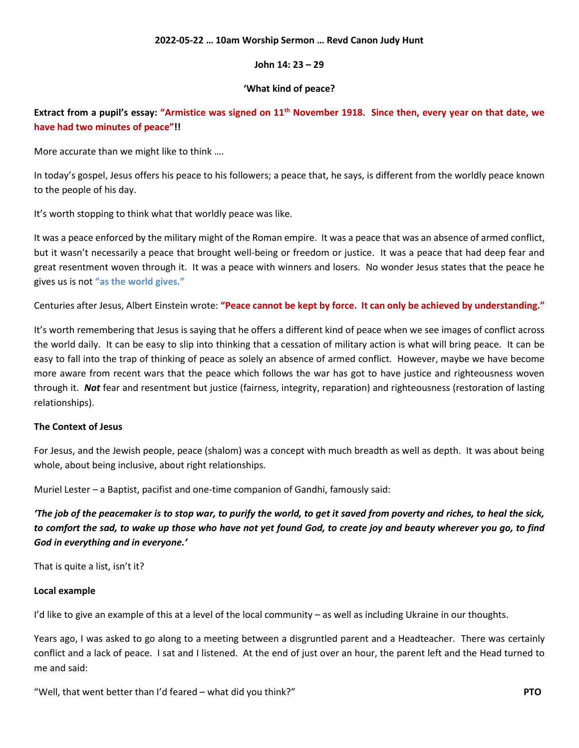# **2022-05-22 … 10am Worship Sermon … Revd Canon Judy Hunt**

# **John 14: 23 – 29**

# **'What kind of peace?**

**Extract from a pupil's essay: "Armistice was signed on 11th November 1918. Since then, every year on that date, we have had two minutes of peace"!!**

More accurate than we might like to think ….

In today's gospel, Jesus offers his peace to his followers; a peace that, he says, is different from the worldly peace known to the people of his day.

It's worth stopping to think what that worldly peace was like.

It was a peace enforced by the military might of the Roman empire. It was a peace that was an absence of armed conflict, but it wasn't necessarily a peace that brought well-being or freedom or justice. It was a peace that had deep fear and great resentment woven through it. It was a peace with winners and losers. No wonder Jesus states that the peace he gives us is not **"as the world gives."**

Centuries after Jesus, Albert Einstein wrote: **"Peace cannot be kept by force. It can only be achieved by understanding."**

It's worth remembering that Jesus is saying that he offers a different kind of peace when we see images of conflict across the world daily. It can be easy to slip into thinking that a cessation of military action is what will bring peace. It can be easy to fall into the trap of thinking of peace as solely an absence of armed conflict. However, maybe we have become more aware from recent wars that the peace which follows the war has got to have justice and righteousness woven through it. *Not* fear and resentment but justice (fairness, integrity, reparation) and righteousness (restoration of lasting relationships).

#### **The Context of Jesus**

For Jesus, and the Jewish people, peace (shalom) was a concept with much breadth as well as depth. It was about being whole, about being inclusive, about right relationships.

Muriel Lester – a Baptist, pacifist and one-time companion of Gandhi, famously said:

*'The job of the peacemaker is to stop war, to purify the world, to get it saved from poverty and riches, to heal the sick, to comfort the sad, to wake up those who have not yet found God, to create joy and beauty wherever you go, to find God in everything and in everyone.'*

That is quite a list, isn't it?

#### **Local example**

I'd like to give an example of this at a level of the local community – as well as including Ukraine in our thoughts.

Years ago, I was asked to go along to a meeting between a disgruntled parent and a Headteacher. There was certainly conflict and a lack of peace. I sat and I listened. At the end of just over an hour, the parent left and the Head turned to me and said:

"Well, that went better than I'd feared – what did you think?" **PTO**